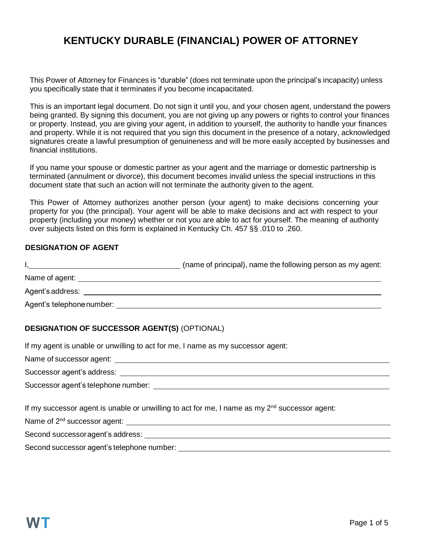# **KENTUCKY DURABLE (FINANCIAL) POWER OF ATTORNEY**

This Power of Attorney for Finances is "durable" (does not terminate upon the principal's incapacity) unless you specifically state that it terminates if you become incapacitated.

This is an important legal document. Do not sign it until you, and your chosen agent, understand the powers being granted. By signing this document, you are not giving up any powers or rights to control your finances or property. Instead, you are giving your agent, in addition to yourself, the authority to handle your finances and property. While it is not required that you sign this document in the presence of a notary, acknowledged signatures create a lawful presumption of genuineness and will be more easily accepted by businesses and financial institutions.

If you name your spouse or domestic partner as your agent and the marriage or domestic partnership is terminated (annulment or divorce), this document becomes invalid unless the special instructions in this document state that such an action will not terminate the authority given to the agent.

This Power of Attorney authorizes another person (your agent) to make decisions concerning your property for you (the principal). Your agent will be able to make decisions and act with respect to your property (including your money) whether or not you are able to act for yourself. The meaning of authority over subjects listed on this form is explained in Kentucky Ch. 457 §§ .010 to .260.

#### **DESIGNATION OF AGENT**

|                           | (name of principal), name the following person as my agent: |
|---------------------------|-------------------------------------------------------------|
| Name of agent:            |                                                             |
| Agent's address:          |                                                             |
| Agent's telephone number: |                                                             |

## **DESIGNATION OF SUCCESSOR AGENT(S)** (OPTIONAL)

If my agent is unable or unwilling to act for me, I name as my successor agent:

Name of successor agent:

Successor agent's address: **Example 2018** Successor and the set of the set of the set of the set of the set of the set of the set of the set of the set of the set of the set of the set of the set of the set of the set of t

Successor agent's telephone number:

If my successor agent is unable or unwilling to act for me, I name as my  $2<sup>nd</sup>$  successor agent:

Name of 2nd successor agent:

Second successoragent's address:

Second successor agent's telephone number: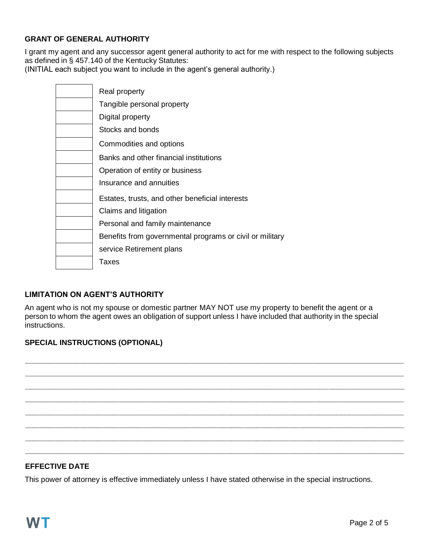## **GRANT OF GENERAL AUTHORITY**

I grant my agent and any successor agent general authority to act for me with respect to the following subjects as defined in § 457.140 of the Kentucky Statutes:

(INITIAL each subject you want to include in the agent's general authority.)

| Real property                                            |
|----------------------------------------------------------|
| Tangible personal property                               |
| Digital property                                         |
| Stocks and bonds                                         |
| Commodities and options                                  |
| Banks and other financial institutions                   |
| Operation of entity or business                          |
| Insurance and annuities                                  |
| Estates, trusts, and other beneficial interests          |
| Claims and litigation                                    |
| Personal and family maintenance                          |
| Benefits from governmental programs or civil or military |
| service Retirement plans                                 |
| Taxes                                                    |

## **LIMITATION ON AGENT'S AUTHORITY**

An agent who is not my spouse or domestic partner MAY NOT use my property to benefit the agent or a person to whom the agent owes an obligation of support unless I have included that authority in the special instructions.

**\_\_\_\_\_\_\_\_\_\_\_\_\_\_\_\_\_\_\_\_\_\_\_\_\_\_\_\_\_\_\_\_\_\_\_\_\_\_\_\_\_\_\_\_\_\_\_\_\_\_\_\_\_\_\_\_\_\_\_\_\_\_\_\_\_\_\_\_\_\_\_\_\_\_\_\_\_\_\_\_\_\_\_\_\_\_\_\_\_\_ \_\_\_\_\_\_\_\_\_\_\_\_\_\_\_\_\_\_\_\_\_\_\_\_\_\_\_\_\_\_\_\_\_\_\_\_\_\_\_\_\_\_\_\_\_\_\_\_\_\_\_\_\_\_\_\_\_\_\_\_\_\_\_\_\_\_\_\_\_\_\_\_\_\_\_\_\_\_\_\_\_\_\_\_\_\_\_\_\_\_ \_\_\_\_\_\_\_\_\_\_\_\_\_\_\_\_\_\_\_\_\_\_\_\_\_\_\_\_\_\_\_\_\_\_\_\_\_\_\_\_\_\_\_\_\_\_\_\_\_\_\_\_\_\_\_\_\_\_\_\_\_\_\_\_\_\_\_\_\_\_\_\_\_\_\_\_\_\_\_\_\_\_\_\_\_\_\_\_\_\_ \_\_\_\_\_\_\_\_\_\_\_\_\_\_\_\_\_\_\_\_\_\_\_\_\_\_\_\_\_\_\_\_\_\_\_\_\_\_\_\_\_\_\_\_\_\_\_\_\_\_\_\_\_\_\_\_\_\_\_\_\_\_\_\_\_\_\_\_\_\_\_\_\_\_\_\_\_\_\_\_\_\_\_\_\_\_\_\_\_\_ \_\_\_\_\_\_\_\_\_\_\_\_\_\_\_\_\_\_\_\_\_\_\_\_\_\_\_\_\_\_\_\_\_\_\_\_\_\_\_\_\_\_\_\_\_\_\_\_\_\_\_\_\_\_\_\_\_\_\_\_\_\_\_\_\_\_\_\_\_\_\_\_\_\_\_\_\_\_\_\_\_\_\_\_\_\_\_\_\_\_ \_\_\_\_\_\_\_\_\_\_\_\_\_\_\_\_\_\_\_\_\_\_\_\_\_\_\_\_\_\_\_\_\_\_\_\_\_\_\_\_\_\_\_\_\_\_\_\_\_\_\_\_\_\_\_\_\_\_\_\_\_\_\_\_\_\_\_\_\_\_\_\_\_\_\_\_\_\_\_\_\_\_\_\_\_\_\_\_\_\_ \_\_\_\_\_\_\_\_\_\_\_\_\_\_\_\_\_\_\_\_\_\_\_\_\_\_\_\_\_\_\_\_\_\_\_\_\_\_\_\_\_\_\_\_\_\_\_\_\_\_\_\_\_\_\_\_\_\_\_\_\_\_\_\_\_\_\_\_\_\_\_\_\_\_\_\_\_\_\_\_\_\_\_\_\_\_\_\_\_\_ \_\_\_\_\_\_\_\_\_\_\_\_\_\_\_\_\_\_\_\_\_\_\_\_\_\_\_\_\_\_\_\_\_\_\_\_\_\_\_\_\_\_\_\_\_\_\_\_\_\_\_\_\_\_\_\_\_\_\_\_\_\_\_\_\_\_\_\_\_\_\_\_\_\_\_\_\_\_\_\_\_\_\_\_\_\_\_\_\_\_**

# **SPECIAL INSTRUCTIONS (OPTIONAL)**

## **EFFECTIVE DATE**

This power of attorney is effective immediately unless I have stated otherwise in the special instructions.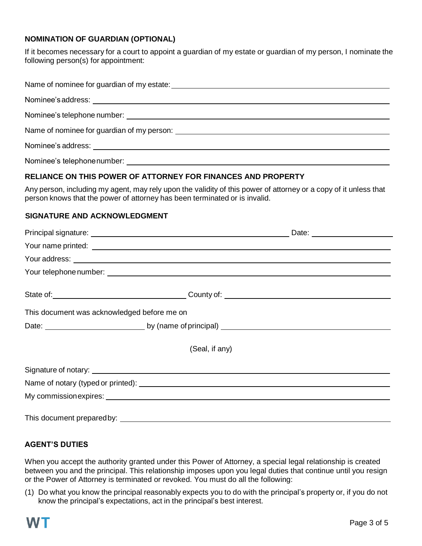## **NOMINATION OF GUARDIAN (OPTIONAL)**

If it becomes necessary for a court to appoint a guardian of my estate or guardian of my person, I nominate the following person(s) for appointment:

| Nominee's telephone number:<br><u> </u> |  |  |
|-----------------------------------------|--|--|

# **RELIANCE ON THIS POWER OF ATTORNEY FOR FINANCES AND PROPERTY**

Any person, including my agent, may rely upon the validity of this power of attorney or a copy of it unless that person knows that the power of attorney has been terminated or is invalid.

#### **SIGNATURE AND ACKNOWLEDGMENT**

| This document was acknowledged before me on                                                                                                                                                                                          |                |  |  |
|--------------------------------------------------------------------------------------------------------------------------------------------------------------------------------------------------------------------------------------|----------------|--|--|
|                                                                                                                                                                                                                                      |                |  |  |
|                                                                                                                                                                                                                                      | (Seal, if any) |  |  |
| Signature of notary: <u>contract the contract of the second second contract of the second second second second second second second second second second second second second second second second second second second second s</u> |                |  |  |
|                                                                                                                                                                                                                                      |                |  |  |
| My commission expires: Letter and the contract of the contract of the contract of the contract of the contract of the contract of the contract of the contract of the contract of the contract of the contract of the contract       |                |  |  |
|                                                                                                                                                                                                                                      |                |  |  |

## **AGENT'S DUTIES**

When you accept the authority granted under this Power of Attorney, a special legal relationship is created between you and the principal. This relationship imposes upon you legal duties that continue until you resign or the Power of Attorney is terminated or revoked. You must do all the following:

(1) Do what you know the principal reasonably expects you to do with the principal's property or, if you do not know the principal's expectations, act in the principal's best interest.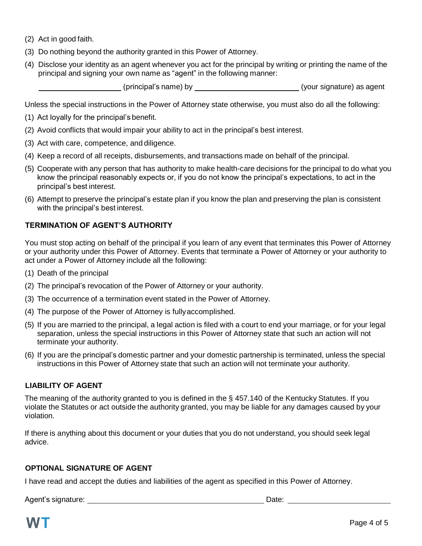- (2) Act in good faith.
- (3) Do nothing beyond the authority granted in this Power of Attorney.
- (4) Disclose your identity as an agent whenever you act for the principal by writing or printing the name of the principal and signing your own name as "agent" in the following manner:

(principal's name) by (your signature) as agent

Unless the special instructions in the Power of Attorney state otherwise, you must also do all the following:

- (1) Act loyally for the principal's benefit.
- (2) Avoid conflicts that would impair your ability to act in the principal's best interest.
- (3) Act with care, competence, and diligence.
- (4) Keep a record of all receipts, disbursements, and transactions made on behalf of the principal.
- (5) Cooperate with any person that has authority to make health-care decisions for the principal to do what you know the principal reasonably expects or, if you do not know the principal's expectations, to act in the principal's best interest.
- (6) Attempt to preserve the principal's estate plan if you know the plan and preserving the plan is consistent with the principal's best interest.

## **TERMINATION OF AGENT'S AUTHORITY**

You must stop acting on behalf of the principal if you learn of any event that terminates this Power of Attorney or your authority under this Power of Attorney. Events that terminate a Power of Attorney or your authority to act under a Power of Attorney include all the following:

- (1) Death of the principal
- (2) The principal's revocation of the Power of Attorney or your authority.
- (3) The occurrence of a termination event stated in the Power of Attorney.
- (4) The purpose of the Power of Attorney is fullyaccomplished.
- (5) If you are married to the principal, a legal action is filed with a court to end your marriage, or for your legal separation, unless the special instructions in this Power of Attorney state that such an action will not terminate your authority.
- (6) If you are the principal's domestic partner and your domestic partnership is terminated, unless the special instructions in this Power of Attorney state that such an action will not terminate your authority.

## **LIABILITY OF AGENT**

The meaning of the authority granted to you is defined in the § 457.140 of the Kentucky Statutes. If you violate the Statutes or act outside the authority granted, you may be liable for any damages caused by your violation.

If there is anything about this document or your duties that you do not understand, you should seek legal advice.

## **OPTIONAL SIGNATURE OF AGENT**

I have read and accept the duties and liabilities of the agent as specified in this Power of Attorney.

Agent's signature: <u>Date:</u> Date: Date: Date: Date: Date: Date: Date: Date: Date: Date: Date: Date: Date: Date: Date: Date: Date: Date: Date: Date: Date: Date: Date: Date: Date: Date: Date: Date: Date: Date: Date: Date: Dat